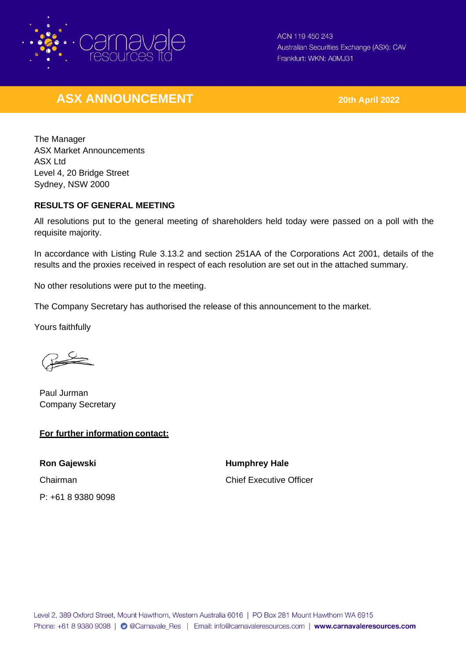

ACN 119 450 243 Australian Securities Exchange (ASX): CAV Frankfurt: WKN: A0MJ31

## **ASX ANNOUNCEMENT 20th April 2022**

The Manager ASX Market Announcements ASX Ltd Level 4, 20 Bridge Street Sydney, NSW 2000

## **RESULTS OF GENERAL MEETING**

All resolutions put to the general meeting of shareholders held today were passed on a poll with the requisite majority.

In accordance with Listing Rule 3.13.2 and section 251AA of the Corporations Act 2001, details of the results and the proxies received in respect of each resolution are set out in the attached summary.

No other resolutions were put to the meeting.

The Company Secretary has authorised the release of this announcement to the market.

Yours faithfully

Paul Jurman Company Secretary

## **For further information contact:**

**Ron Gajewski Humphrey Hale** P: +61 8 9380 9098

Chairman Chief Executive Officer